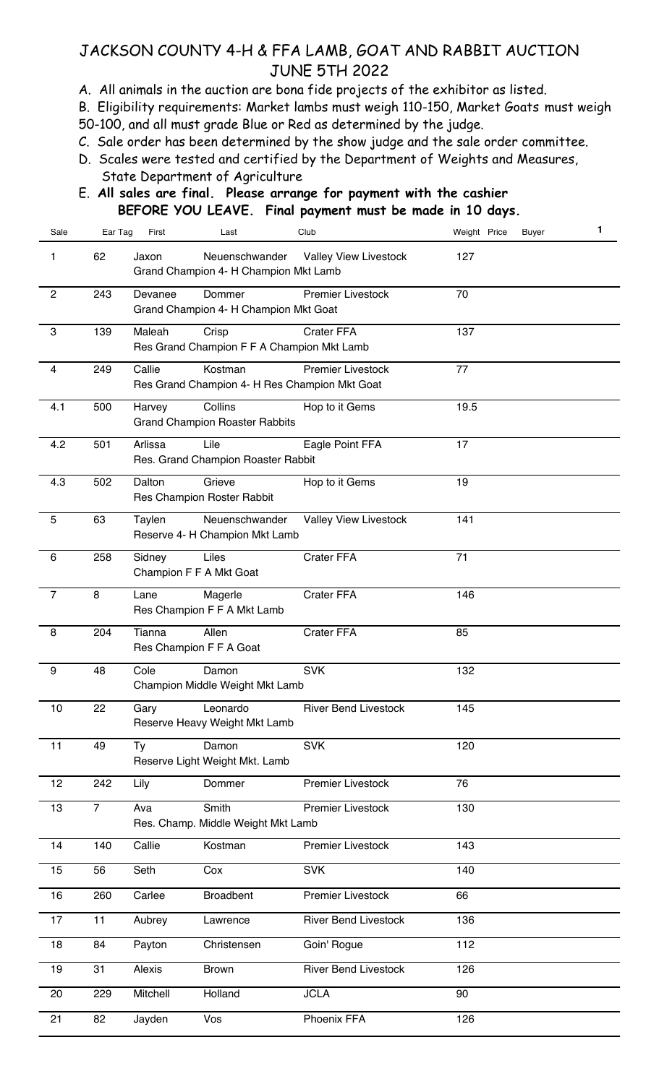## JACKSON COUNTY 4-H & FFA LAMB, GOAT AND RABBIT AUCTION JUNE 5TH 2022

A. All animals in the auction are bona fide projects of the exhibitor as listed.

B. Eligibility requirements: Market lambs must weigh 110-150, Market Goats must weigh 50-100, and all must grade Blue or Red as determined by the judge.

C. Sale order has been determined by the show judge and the sale order committee.

- D. Scales were tested and certified by the Department of Weights and Measures, State Department of Agriculture
- E. **All sales are final. Please arrange for payment with the cashier BEFORE YOU LEAVE. Final payment must be made in 10 days.**

| Sale           | Ear Tag        | First    | Last                                                     | Club                         | Weight Price<br>Buyer | $\mathbf{1}$ |
|----------------|----------------|----------|----------------------------------------------------------|------------------------------|-----------------------|--------------|
| 1              | 62             | Jaxon    | Neuenschwander<br>Grand Champion 4- H Champion Mkt Lamb  | <b>Valley View Livestock</b> | 127                   |              |
| $\overline{c}$ | 243            | Devanee  | Dommer<br>Grand Champion 4- H Champion Mkt Goat          | Premier Livestock            | 70                    |              |
| $\mathbf{3}$   | 139            | Maleah   | Crisp<br>Res Grand Champion F F A Champion Mkt Lamb      | <b>Crater FFA</b>            | 137                   |              |
| 4              | 249            | Callie   | Kostman<br>Res Grand Champion 4- H Res Champion Mkt Goat | <b>Premier Livestock</b>     | 77                    |              |
| 4.1            | 500            | Harvey   | Collins<br><b>Grand Champion Roaster Rabbits</b>         | Hop to it Gems               | 19.5                  |              |
| 4.2            | 501            | Arlissa  | Lile<br>Res. Grand Champion Roaster Rabbit               | Eagle Point FFA              | 17                    |              |
| 4.3            | 502            | Dalton   | Grieve<br>Res Champion Roster Rabbit                     | Hop to it Gems               | 19                    |              |
| 5              | 63             | Taylen   | Neuenschwander<br>Reserve 4- H Champion Mkt Lamb         | <b>Valley View Livestock</b> | 141                   |              |
| 6              | 258            | Sidney   | Liles<br>Champion F F A Mkt Goat                         | Crater FFA                   | 71                    |              |
| $\overline{7}$ | 8              | Lane     | Magerle<br>Res Champion F F A Mkt Lamb                   | Crater FFA                   | 146                   |              |
| 8              | 204            | Tianna   | Allen<br>Res Champion F F A Goat                         | Crater FFA                   | 85                    |              |
| 9              | 48             | Cole     | Damon<br>Champion Middle Weight Mkt Lamb                 | <b>SVK</b>                   | 132                   |              |
| 10             | 22             | Gary     | Leonardo<br>Reserve Heavy Weight Mkt Lamb                | <b>River Bend Livestock</b>  | 145                   |              |
| 11             | 49             | Ty       | Damon<br>Reserve Light Weight Mkt. Lamb                  | <b>SVK</b>                   | 120                   |              |
| 12             | 242            | Lily     | Dommer                                                   | <b>Premier Livestock</b>     | 76                    |              |
| 13             | $\overline{7}$ | Ava      | Smith<br>Res. Champ. Middle Weight Mkt Lamb              | <b>Premier Livestock</b>     | 130                   |              |
| 14             | 140            | Callie   | Kostman                                                  | Premier Livestock            | 143                   |              |
| 15             | 56             | Seth     | Cox                                                      | <b>SVK</b>                   | 140                   |              |
| 16             | 260            | Carlee   | <b>Broadbent</b>                                         | <b>Premier Livestock</b>     | 66                    |              |
| 17             | 11             | Aubrey   | Lawrence                                                 | <b>River Bend Livestock</b>  | 136                   |              |
| 18             | 84             | Payton   | Christensen                                              | Goin' Rogue                  | 112                   |              |
| 19             | 31             | Alexis   | <b>Brown</b>                                             | <b>River Bend Livestock</b>  | 126                   |              |
| 20             | 229            | Mitchell | Holland                                                  | <b>JCLA</b>                  | 90                    |              |
| 21             | 82             | Jayden   | Vos                                                      | Phoenix FFA                  | 126                   |              |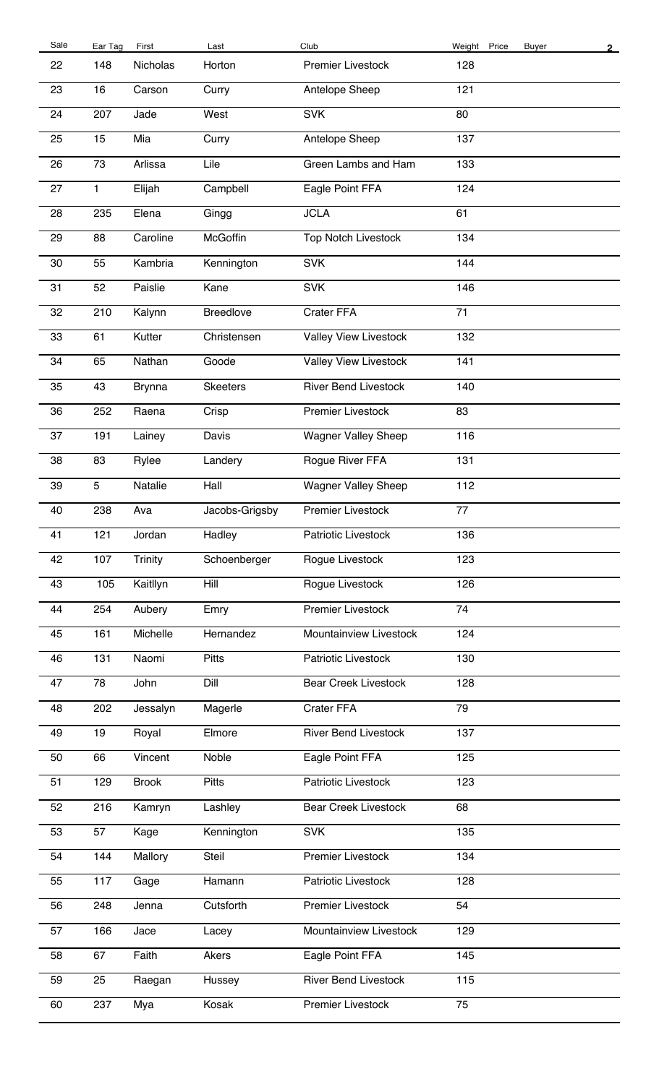| Sale | Ear Tag      | First          | Last             | Club                         | Weight Price<br>Buyer | $\overline{2}$ |
|------|--------------|----------------|------------------|------------------------------|-----------------------|----------------|
| 22   | 148          | Nicholas       | Horton           | <b>Premier Livestock</b>     | 128                   |                |
| 23   | 16           | Carson         | Curry            | Antelope Sheep               | 121                   |                |
| 24   | 207          | Jade           | West             | <b>SVK</b>                   | 80                    |                |
| 25   | 15           | Mia            | Curry            | Antelope Sheep               | 137                   |                |
| 26   | 73           | Arlissa        | Lile             | Green Lambs and Ham          | 133                   |                |
| 27   | $\mathbf{1}$ | Elijah         | Campbell         | Eagle Point FFA              | 124                   |                |
| 28   | 235          | Elena          | Gingg            | <b>JCLA</b>                  | 61                    |                |
| 29   | 88           | Caroline       | McGoffin         | <b>Top Notch Livestock</b>   | 134                   |                |
| 30   | 55           | Kambria        | Kennington       | <b>SVK</b>                   | 144                   |                |
| 31   | 52           | Paislie        | Kane             | <b>SVK</b>                   | 146                   |                |
| 32   | 210          | Kalynn         | <b>Breedlove</b> | Crater FFA                   | 71                    |                |
| 33   | 61           | Kutter         | Christensen      | <b>Valley View Livestock</b> | 132                   |                |
| 34   | 65           | Nathan         | Goode            | <b>Valley View Livestock</b> | 141                   |                |
| 35   | 43           | <b>Brynna</b>  | <b>Skeeters</b>  | <b>River Bend Livestock</b>  | 140                   |                |
| 36   | 252          | Raena          | Crisp            | <b>Premier Livestock</b>     | 83                    |                |
| 37   | 191          | Lainey         | Davis            | <b>Wagner Valley Sheep</b>   | 116                   |                |
| 38   | 83           | Rylee          | Landery          | Rogue River FFA              | 131                   |                |
| 39   | 5            | Natalie        | Hall             | <b>Wagner Valley Sheep</b>   | 112                   |                |
| 40   | 238          | Ava            | Jacobs-Grigsby   | <b>Premier Livestock</b>     | 77                    |                |
| 41   | 121          | Jordan         | Hadley           | Patriotic Livestock          | 136                   |                |
| 42   | 107          | <b>Trinity</b> | Schoenberger     | Rogue Livestock              | 123                   |                |
| 43   | 105          | Kaitllyn       | Hill             | Rogue Livestock              | 126                   |                |
| 44   | 254          | Aubery         | Emry             | <b>Premier Livestock</b>     | 74                    |                |
| 45   | 161          | Michelle       | Hernandez        | Mountainview Livestock       | 124                   |                |
| 46   | 131          | Naomi          | Pitts            | Patriotic Livestock          | 130                   |                |
| 47   | 78           | John           | Dill             | <b>Bear Creek Livestock</b>  | 128                   |                |
| 48   | 202          | Jessalyn       | Magerle          | Crater FFA                   | 79                    |                |
| 49   | 19           | Royal          | Elmore           | <b>River Bend Livestock</b>  | 137                   |                |
| 50   | 66           | Vincent        | Noble            | Eagle Point FFA              | 125                   |                |
| 51   | 129          | <b>Brook</b>   | <b>Pitts</b>     | Patriotic Livestock          | 123                   |                |
| 52   | 216          | Kamryn         | Lashley          | <b>Bear Creek Livestock</b>  | 68                    |                |
| 53   | 57           | Kage           | Kennington       | <b>SVK</b>                   | 135                   |                |
| 54   | 144          | Mallory        | Steil            | <b>Premier Livestock</b>     | 134                   |                |
| 55   | 117          | Gage           | Hamann           | Patriotic Livestock          | 128                   |                |
| 56   | 248          | Jenna          | Cutsforth        | Premier Livestock            | 54                    |                |
| 57   | 166          | Jace           | Lacey            | Mountainview Livestock       | 129                   |                |
| 58   | 67           | Faith          | Akers            | Eagle Point FFA              | 145                   |                |
| 59   | 25           | Raegan         | Hussey           | <b>River Bend Livestock</b>  | 115                   |                |
| 60   | 237          | Mya            | Kosak            | Premier Livestock            | 75                    |                |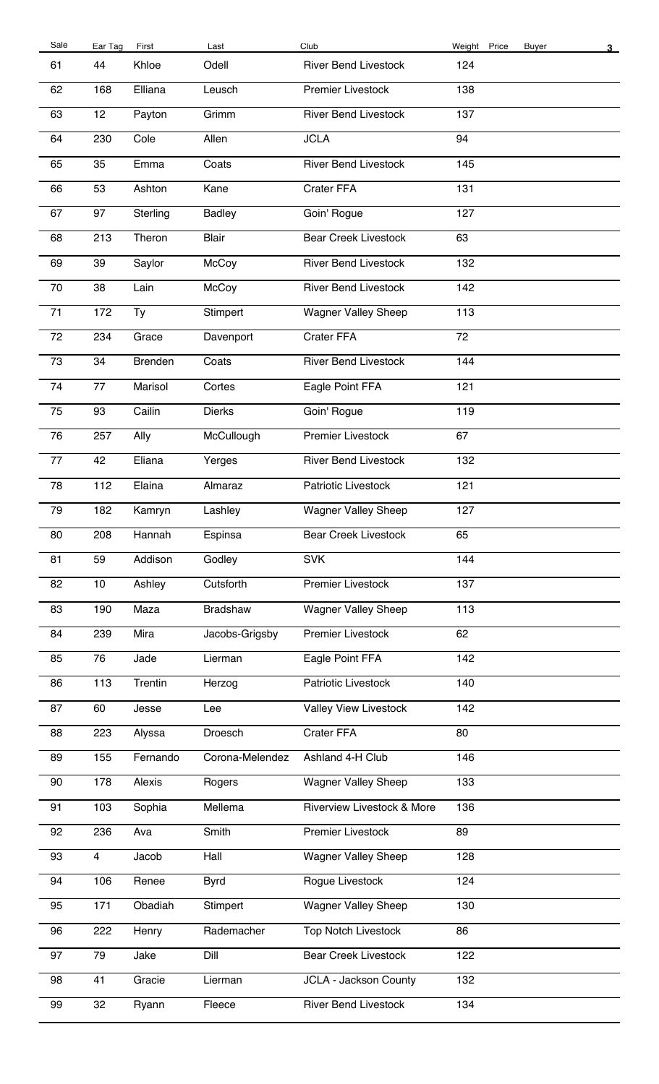| <b>Buyer</b> | 3 |
|--------------|---|
|              |   |
|              |   |
|              |   |
|              |   |
|              |   |
|              |   |
|              |   |
|              |   |
|              |   |
|              |   |
|              |   |
|              |   |
|              |   |
|              |   |
|              |   |
|              |   |
|              |   |
|              |   |
|              |   |
|              |   |
|              |   |
|              |   |
|              |   |
|              |   |
|              |   |
|              |   |
|              |   |
|              |   |
|              |   |
|              |   |
|              |   |
|              |   |
|              |   |
|              |   |
|              |   |
|              |   |
|              |   |
|              |   |
|              |   |
|              |   |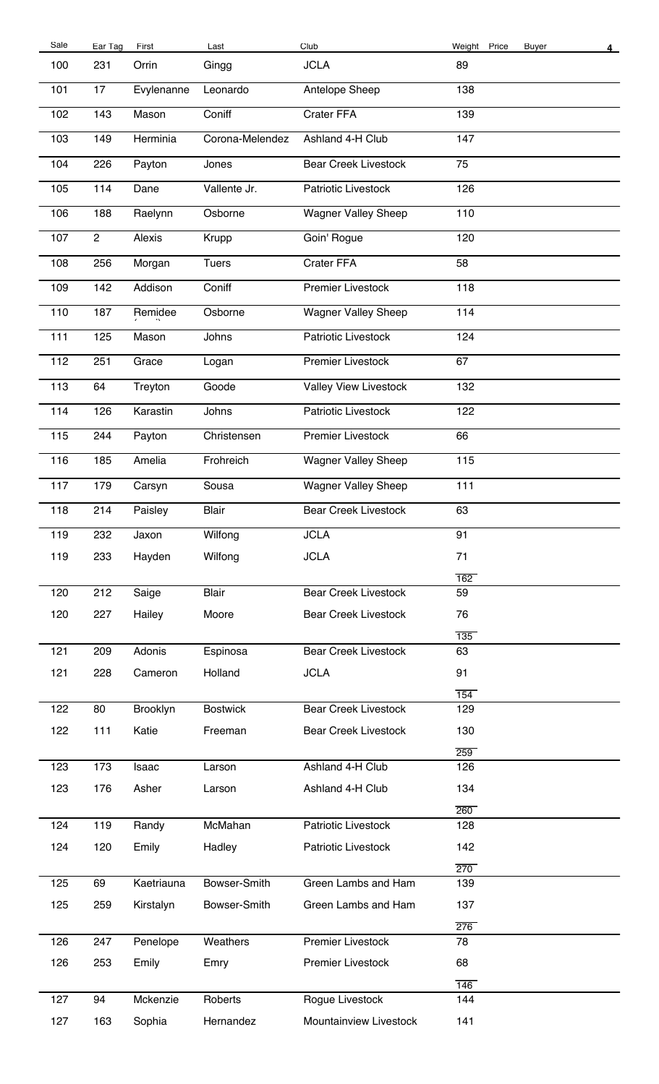| Sale | Ear Tag        | First      | Last            | Club                        | Weight Price | <b>Buyer</b> | 4 |
|------|----------------|------------|-----------------|-----------------------------|--------------|--------------|---|
| 100  | 231            | Orrin      | Gingg           | <b>JCLA</b>                 | 89           |              |   |
| 101  | 17             | Evylenanne | Leonardo        | Antelope Sheep              | 138          |              |   |
| 102  | 143            | Mason      | Coniff          | Crater FFA                  | 139          |              |   |
| 103  | 149            | Herminia   | Corona-Melendez | Ashland 4-H Club            | 147          |              |   |
| 104  | 226            | Payton     | Jones           | <b>Bear Creek Livestock</b> | 75           |              |   |
| 105  | 114            | Dane       | Vallente Jr.    | Patriotic Livestock         | 126          |              |   |
| 106  | 188            | Raelynn    | Osborne         | <b>Wagner Valley Sheep</b>  | 110          |              |   |
| 107  | $\overline{2}$ | Alexis     | Krupp           | Goin' Rogue                 | 120          |              |   |
| 108  | 256            | Morgan     | <b>Tuers</b>    | Crater FFA                  | 58           |              |   |
| 109  | 142            | Addison    | Coniff          | <b>Premier Livestock</b>    | 118          |              |   |
| 110  | 187            | Remidee    | Osborne         | <b>Wagner Valley Sheep</b>  | 114          |              |   |
| 111  | 125            | Mason      | Johns           | Patriotic Livestock         | 124          |              |   |
| 112  | 251            | Grace      | Logan           | <b>Premier Livestock</b>    | 67           |              |   |
| 113  | 64             | Treyton    | Goode           | Valley View Livestock       | 132          |              |   |
| 114  | 126            | Karastin   | Johns           | Patriotic Livestock         | 122          |              |   |
| 115  | 244            | Payton     | Christensen     | <b>Premier Livestock</b>    | 66           |              |   |
| 116  | 185            | Amelia     | Frohreich       | <b>Wagner Valley Sheep</b>  | 115          |              |   |
| 117  | 179            | Carsyn     | Sousa           | <b>Wagner Valley Sheep</b>  | 111          |              |   |
| 118  | 214            | Paisley    | <b>Blair</b>    | <b>Bear Creek Livestock</b> | 63           |              |   |
| 119  | 232            | Jaxon      | Wilfong         | <b>JCLA</b>                 | 91           |              |   |
| 119  | 233            | Hayden     | Wilfong         | <b>JCLA</b>                 | 71           |              |   |
|      |                |            |                 |                             | 162          |              |   |
| 120  | 212            | Saige      | <b>Blair</b>    | <b>Bear Creek Livestock</b> | 59           |              |   |
| 120  | 227            | Hailey     | Moore           | <b>Bear Creek Livestock</b> | 76           |              |   |
|      |                |            |                 |                             | 135          |              |   |
| 121  | 209            | Adonis     | Espinosa        | <b>Bear Creek Livestock</b> | 63           |              |   |
| 121  | 228            | Cameron    | Holland         | <b>JCLA</b>                 | 91           |              |   |
| 122  | 80             | Brooklyn   | <b>Bostwick</b> | <b>Bear Creek Livestock</b> | 154<br>129   |              |   |
|      |                |            |                 |                             |              |              |   |
| 122  | 111            | Katie      | Freeman         | <b>Bear Creek Livestock</b> | 130          |              |   |
| 123  | 173            | Isaac      | Larson          | Ashland 4-H Club            | 259<br>126   |              |   |
|      |                |            |                 |                             |              |              |   |
| 123  | 176            | Asher      | Larson          | Ashland 4-H Club            | 134<br>260   |              |   |
| 124  | 119            | Randy      | McMahan         | Patriotic Livestock         | 128          |              |   |
| 124  | 120            | Emily      | Hadley          | Patriotic Livestock         | 142          |              |   |
|      |                |            |                 |                             | 270          |              |   |
| 125  | 69             | Kaetriauna | Bowser-Smith    | Green Lambs and Ham         | 139          |              |   |
| 125  | 259            | Kirstalyn  | Bowser-Smith    | Green Lambs and Ham         | 137          |              |   |
|      |                |            |                 |                             | 276          |              |   |
| 126  | 247            | Penelope   | Weathers        | <b>Premier Livestock</b>    | 78           |              |   |
| 126  | 253            | Emily      | Emry            | Premier Livestock           | 68           |              |   |
|      |                |            |                 |                             | 146          |              |   |
| 127  | 94             | Mckenzie   | Roberts         | Rogue Livestock             | 144          |              |   |
| 127  | 163            | Sophia     | Hernandez       | Mountainview Livestock      | 141          |              |   |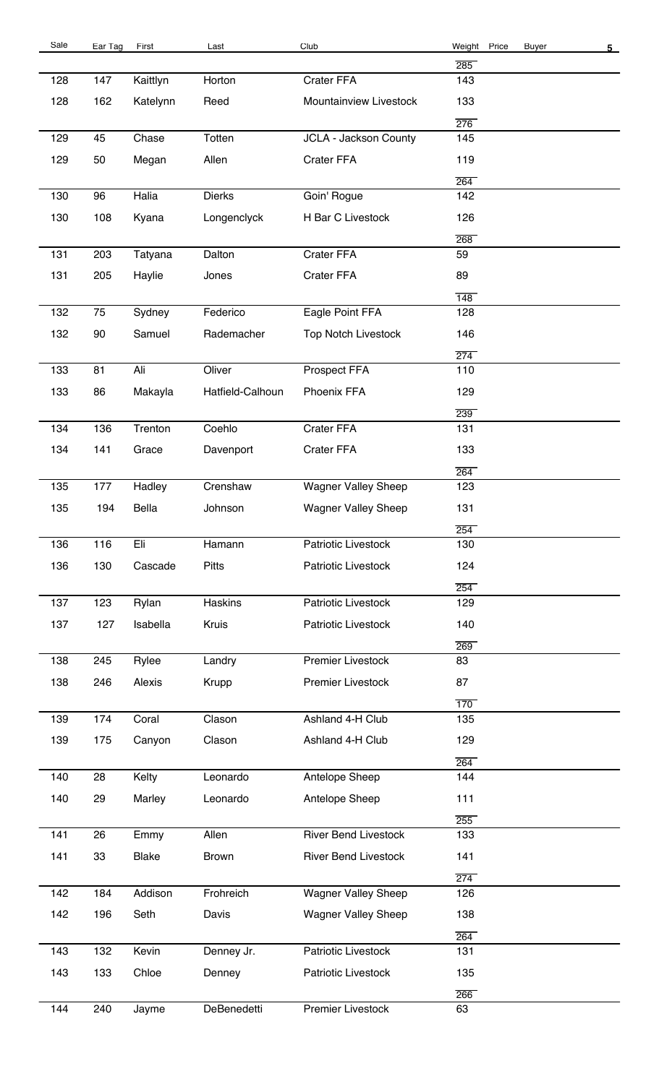| Sale | Ear Tag | First        | Last             | Club                        | Weight Price | Buyer | 5 <sub>1</sub> |
|------|---------|--------------|------------------|-----------------------------|--------------|-------|----------------|
|      |         |              |                  |                             | 285          |       |                |
| 128  | 147     | Kaittlyn     | Horton           | Crater FFA                  | 143          |       |                |
| 128  | 162     | Katelynn     | Reed             | Mountainview Livestock      | 133          |       |                |
| 129  | 45      | Chase        | Totten           |                             | 276<br>145   |       |                |
|      |         |              |                  | JCLA - Jackson County       |              |       |                |
| 129  | 50      | Megan        | Allen            | Crater FFA                  | 119          |       |                |
| 130  | 96      | Halia        | <b>Dierks</b>    | Goin' Rogue                 | 264<br>142   |       |                |
|      |         |              |                  |                             |              |       |                |
| 130  | 108     | Kyana        | Longenclyck      | H Bar C Livestock           | 126<br>268   |       |                |
| 131  | 203     | Tatyana      | Dalton           | Crater FFA                  | 59           |       |                |
| 131  | 205     | Haylie       | Jones            | Crater FFA                  | 89           |       |                |
|      |         |              |                  |                             | 148          |       |                |
| 132  | 75      | Sydney       | Federico         | Eagle Point FFA             | 128          |       |                |
| 132  | 90      | Samuel       | Rademacher       | <b>Top Notch Livestock</b>  | 146          |       |                |
|      |         |              |                  |                             |              |       |                |
| 133  | 81      | Ali          | Oliver           | Prospect FFA                | 274<br>110   |       |                |
|      |         |              |                  |                             |              |       |                |
| 133  | 86      | Makayla      | Hatfield-Calhoun | Phoenix FFA                 | 129          |       |                |
|      |         |              |                  |                             | 239          |       |                |
| 134  | 136     | Trenton      | Coehlo           | Crater FFA                  | 131          |       |                |
| 134  | 141     | Grace        | Davenport        | Crater FFA                  | 133          |       |                |
|      |         |              |                  |                             | 264          |       |                |
| 135  | 177     | Hadley       | Crenshaw         | <b>Wagner Valley Sheep</b>  | 123          |       |                |
| 135  | 194     | Bella        | Johnson          | <b>Wagner Valley Sheep</b>  | 131          |       |                |
| 136  | 116     | Eli          | Hamann           | Patriotic Livestock         | 254<br>130   |       |                |
|      |         |              |                  |                             |              |       |                |
| 136  | 130     | Cascade      | <b>Pitts</b>     | Patriotic Livestock         | 124          |       |                |
| 137  | 123     | Rylan        | Haskins          | Patriotic Livestock         | 254<br>129   |       |                |
| 137  | 127     | Isabella     | Kruis            | Patriotic Livestock         | 140          |       |                |
|      |         |              |                  |                             | 269          |       |                |
| 138  | 245     | Rylee        | Landry           | <b>Premier Livestock</b>    | 83           |       |                |
| 138  | 246     | Alexis       | Krupp            | <b>Premier Livestock</b>    | 87           |       |                |
|      |         |              |                  |                             |              |       |                |
| 139  | 174     | Coral        | Clason           | Ashland 4-H Club            | 170<br>135   |       |                |
|      |         |              |                  |                             |              |       |                |
| 139  | 175     | Canyon       | Clason           | Ashland 4-H Club            | 129          |       |                |
|      |         |              | Leonardo         |                             | 264          |       |                |
| 140  | 28      | Kelty        |                  | Antelope Sheep              | 144          |       |                |
| 140  | 29      | Marley       | Leonardo         | Antelope Sheep              | 111          |       |                |
| 141  | 26      | Emmy         | Allen            | <b>River Bend Livestock</b> | 255<br>133   |       |                |
|      |         |              |                  |                             |              |       |                |
| 141  | 33      | <b>Blake</b> | Brown            | <b>River Bend Livestock</b> | 141          |       |                |
| 142  | 184     | Addison      | Frohreich        | <b>Wagner Valley Sheep</b>  | 274<br>126   |       |                |
|      |         |              |                  |                             |              |       |                |
| 142  | 196     | Seth         | Davis            | <b>Wagner Valley Sheep</b>  | 138          |       |                |
| 143  | 132     | Kevin        | Denney Jr.       | Patriotic Livestock         | 264<br>131   |       |                |
|      |         |              |                  |                             |              |       |                |
| 143  | 133     | Chloe        | Denney           | Patriotic Livestock         | 135          |       |                |
| 144  | 240     |              | DeBenedetti      | Premier Livestock           | 266<br>63    |       |                |
|      |         | Jayme        |                  |                             |              |       |                |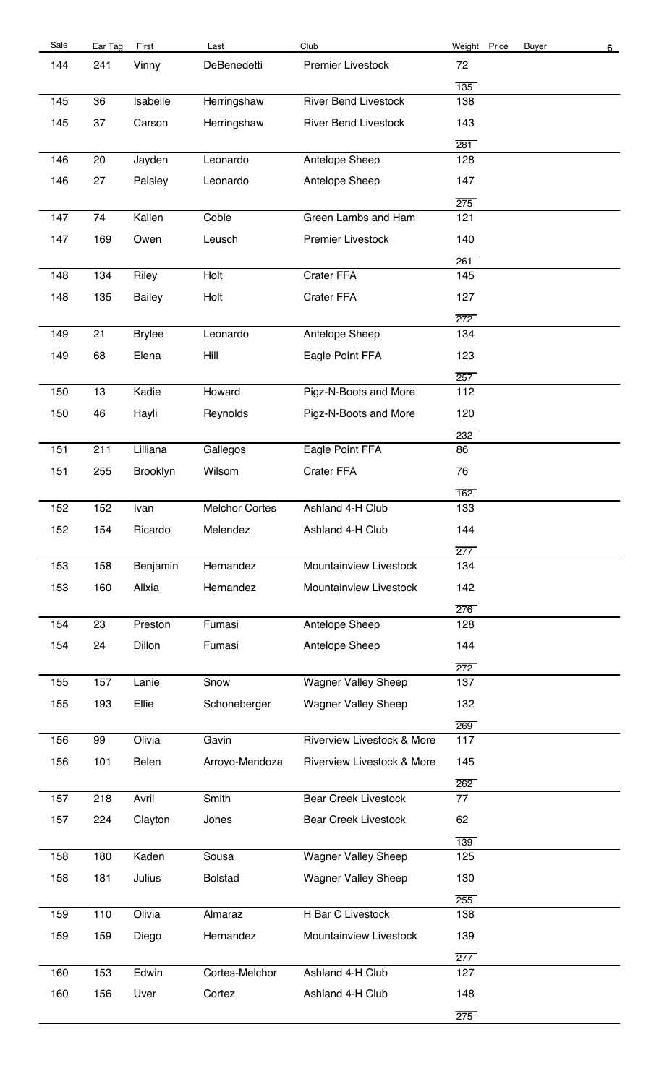| Sale | Ear Tag | First         | Last                  | Club                                  | Weight Price            | <b>Buyer</b> | 6 |
|------|---------|---------------|-----------------------|---------------------------------------|-------------------------|--------------|---|
| 144  | 241     | Vinny         | DeBenedetti           | Premier Livestock                     | 72                      |              |   |
|      |         |               |                       |                                       | $\overline{135}$        |              |   |
| 145  | 36      | Isabelle      | Herringshaw           | <b>River Bend Livestock</b>           | 138                     |              |   |
| 145  | 37      | Carson        | Herringshaw           | <b>River Bend Livestock</b>           | 143<br>281              |              |   |
| 146  | 20      | Jayden        | Leonardo              | Antelope Sheep                        | 128                     |              |   |
|      |         |               |                       |                                       |                         |              |   |
| 146  | 27      | Paisley       | Leonardo              | Antelope Sheep                        | 147<br>275              |              |   |
| 147  | 74      | Kallen        | Coble                 | Green Lambs and Ham                   | 121                     |              |   |
| 147  | 169     | Owen          | Leusch                | <b>Premier Livestock</b>              | 140                     |              |   |
|      |         |               |                       |                                       | $\overline{261}$        |              |   |
| 148  | 134     | Riley         | Holt                  | Crater FFA                            | 145                     |              |   |
| 148  | 135     | <b>Bailey</b> | Holt                  | Crater FFA                            | 127                     |              |   |
|      |         |               |                       |                                       | $\overline{272}$        |              |   |
| 149  | 21      | <b>Brylee</b> | Leonardo              | Antelope Sheep                        | 134                     |              |   |
| 149  | 68      | Elena         | Hill                  | Eagle Point FFA                       | 123                     |              |   |
|      |         |               |                       |                                       | 257                     |              |   |
| 150  | 13      | Kadie         | Howard                | Pigz-N-Boots and More                 | 112                     |              |   |
| 150  | 46      | Hayli         | Reynolds              | Pigz-N-Boots and More                 | 120                     |              |   |
|      |         |               |                       |                                       |                         |              |   |
| 151  | 211     | Lilliana      | Gallegos              | Eagle Point FFA                       | $\overline{232}$<br>86  |              |   |
|      |         |               | Wilsom                | Crater FFA                            | 76                      |              |   |
| 151  | 255     | Brooklyn      |                       |                                       |                         |              |   |
| 152  | 152     | Ivan          | <b>Melchor Cortes</b> | Ashland 4-H Club                      | 162<br>133              |              |   |
|      |         |               |                       | Ashland 4-H Club                      |                         |              |   |
| 152  | 154     | Ricardo       | Melendez              |                                       | 144                     |              |   |
| 153  | 158     | Benjamin      | Hernandez             | Mountainview Livestock                | 277<br>134              |              |   |
|      |         |               |                       |                                       |                         |              |   |
| 153  | 160     | Allxia        | Hernandez             | Mountainview Livestock                | 142<br>276              |              |   |
| 154  | 23      | Preston       | Fumasi                | Antelope Sheep                        | 128                     |              |   |
| 154  | 24      | Dillon        | Fumasi                | Antelope Sheep                        | 144                     |              |   |
|      |         |               |                       |                                       | $\overline{272}$        |              |   |
| 155  | 157     | Lanie         | Snow                  | <b>Wagner Valley Sheep</b>            | 137                     |              |   |
| 155  | 193     | Ellie         | Schoneberger          | <b>Wagner Valley Sheep</b>            | 132                     |              |   |
|      |         |               |                       |                                       | 269                     |              |   |
| 156  | 99      | Olivia        | Gavin                 | <b>Riverview Livestock &amp; More</b> | 117                     |              |   |
| 156  | 101     | Belen         | Arroyo-Mendoza        | Riverview Livestock & More            | 145                     |              |   |
|      |         |               |                       |                                       | 262                     |              |   |
| 157  | 218     | Avril         | Smith                 | <b>Bear Creek Livestock</b>           | 77                      |              |   |
| 157  | 224     | Clayton       | Jones                 | <b>Bear Creek Livestock</b>           | 62                      |              |   |
|      |         |               |                       |                                       | 139                     |              |   |
| 158  | 180     | Kaden         | Sousa                 | <b>Wagner Valley Sheep</b>            | 125                     |              |   |
| 158  | 181     | Julius        | <b>Bolstad</b>        | <b>Wagner Valley Sheep</b>            | 130                     |              |   |
|      |         |               |                       |                                       |                         |              |   |
| 159  | 110     | Olivia        | Almaraz               | H Bar C Livestock                     | 255<br>138              |              |   |
| 159  | 159     | Diego         | Hernandez             | Mountainview Livestock                | 139                     |              |   |
|      |         |               |                       |                                       |                         |              |   |
| 160  | 153     | Edwin         | Cortes-Melchor        | Ashland 4-H Club                      | $\overline{277}$<br>127 |              |   |
|      |         |               |                       |                                       |                         |              |   |
| 160  | 156     | Uver          | Cortez                | Ashland 4-H Club                      | 148                     |              |   |
|      |         |               |                       |                                       | 275                     |              |   |